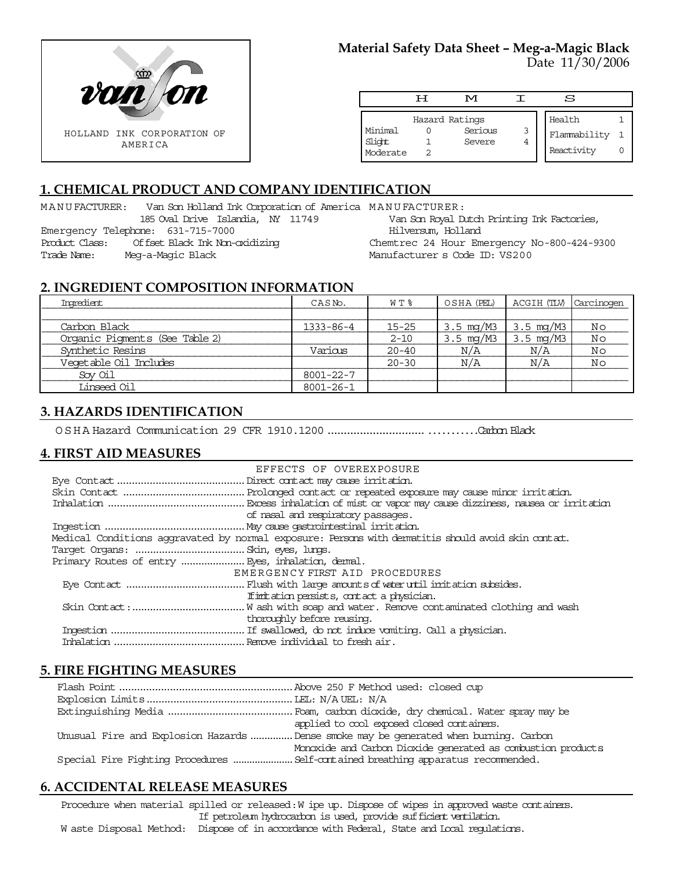

# **Material Safety Data Sheet – Meg-a-Magic Black**

Date 11/30/2006

|                               | ਸ | M                                   |        | S                                    |  |
|-------------------------------|---|-------------------------------------|--------|--------------------------------------|--|
| Minimal<br>Slight<br>Moderate |   | Hazard Ratings<br>Serious<br>Severe | 3<br>4 | Health<br>Flammability<br>Reactivity |  |

# **1. CHEMICAL PRODUCT AND COMPANY IDENTIFICATION**

MANUFACTURER: Van Son Holland Ink Corporation of America MANUFACTURER: 185 Oval Drive Islandia, NY 11749 Emergency Telephone: 631-715-7000 Product Class: Offset Black Ink Non-oxidizing Trade Name: Meg-a-Magic Black Van Son Royal Dutch Printing Ink Factories, Hilversum, Holland Chemtrec 24 Hour Emergency No-800-424-9300 Manufacturer s Code ID: VS200

#### **2. INGREDIENT COMPOSITION INFORMATION**

| Ingredient                     | CASNO.    | $W T$ $*$ | OSHA (PEL)            | ACGIH (TLV) | Carcinogen |
|--------------------------------|-----------|-----------|-----------------------|-------------|------------|
|                                |           |           |                       |             |            |
| Carbon Black                   | 1333-86-4 | 15-25     | 3.5 mg/M3             | 3.5 mg/M3   | Νo         |
| Organic Pigments (See Table 2) |           | $2 - 10$  | $3.5 \, \text{mq/M3}$ | 3.5 mg/M3   | Νo         |
| Synthetic Resins               | Various   | $20 - 40$ | N/A                   | N/A         | No         |
| Vegetable Oil Includes         |           | $20 - 30$ | N/A                   | N/A         | Νo         |
| Sov Oil                        | 8001-22-7 |           |                       |             |            |
| Linseed Oil                    | 8001-26-1 |           |                       |             |            |

## **3. HAZARDS IDENTIFICATION**

OSHA Hazard Communication 29 CFR 1910.1200.........................................Carbon Black

## **4. FIRST AID MEASURES**

| EFFECTS OF OVEREXPOSURE                                                                            |
|----------------------------------------------------------------------------------------------------|
|                                                                                                    |
|                                                                                                    |
|                                                                                                    |
| of nasal and respiratory passages.                                                                 |
|                                                                                                    |
| Medical Conditions aggravated by normal exposure: Persons with dematitis should avoid skin contat. |
|                                                                                                    |
|                                                                                                    |
| EMERGENCY FIRST AID PROCEDURES                                                                     |
|                                                                                                    |
| If initiation persists, contact a physician.                                                       |
|                                                                                                    |
| thoroughly before reusing.                                                                         |
|                                                                                                    |
|                                                                                                    |

#### **5. FIRE FIGHTING MEASURES**

| applied to cool exposed closed containers.                                            |
|---------------------------------------------------------------------------------------|
| Unusual Fire and Explosion Hazards  Dense smoke may be generated when burning. Carbon |
| Monoxide and Carbon Dioxide generated as combustion products                          |
| Special Fire Fighting Procedures  Self-cartained breathing apparatus recommended.     |

#### **6. ACCIDENTAL RELEASE MEASURES**

Procedure when material spilled or released: W ipe up. Dispose of wipes in approved waste containers. If petroleum hydrocarbon is used, provide sufficient ventilation. W aste Disposal Method: Dispose of in accordance with Federal, State and Local regulations.